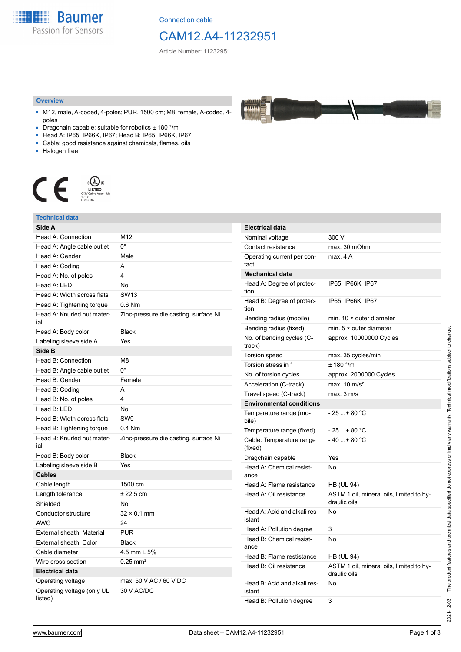**Baumer** Passion for Sensors

Connection cable

## CAM12.A4-11232951

44888 **TALLA** 

Article Number: 11232951

#### **Overview**

- M12, male, A-coded, 4-poles; PUR, 1500 cm; M8, female, A-coded, 4 poles
- Dragchain capable; suitable for robotics ± 180 °/m
- Head A: IP65, IP66K, IP67; Head B: IP65, IP66K, IP67
- Cable: good resistance against chemicals, flames, oils
- Halogen free



### **Technical data**

| Side A                                |                                       |
|---------------------------------------|---------------------------------------|
| Head A: Connection                    | M12                                   |
| Head A: Angle cable outlet            | $0^{\circ}$                           |
| Head A: Gender                        | Male                                  |
| Head A: Coding                        | A                                     |
| Head A: No. of poles                  | 4                                     |
| Head A: LED                           | No                                    |
| Head A: Width across flats            | <b>SW13</b>                           |
| Head A: Tightening torque             | $0.6$ Nm                              |
| Head A: Knurled nut mater-<br>ial     | Zinc-pressure die casting, surface Ni |
| Head A: Body color                    | <b>Black</b>                          |
| Labeling sleeve side A                | Yes                                   |
| Side B                                |                                       |
| Head B: Connection                    | M <sub>8</sub>                        |
| Head B: Angle cable outlet            | 0°                                    |
| Head B: Gender                        | Female                                |
| Head B: Coding                        | A                                     |
| Head B: No. of poles                  | 4                                     |
| Head B: LED                           | No                                    |
| Head B: Width across flats            | SW <sub>9</sub>                       |
| Head B: Tightening torque             | $0.4$ Nm                              |
| Head B: Knurled nut mater-<br>ial     | Zinc-pressure die casting, surface Ni |
| Head B: Body color                    | <b>Black</b>                          |
| Labeling sleeve side B                | Yes                                   |
| <b>Cables</b>                         |                                       |
| Cable length                          | 1500 cm                               |
| Length tolerance                      | ± 22.5 cm                             |
| Shielded                              | No                                    |
| Conductor structure                   | $32 \times 0.1$ mm                    |
| AWG                                   | 24                                    |
| External sheath: Material             | <b>PUR</b>                            |
| External sheath: Color                | <b>Black</b>                          |
| Cable diameter                        | 4.5 mm $\pm$ 5%                       |
| Wire cross section                    | $0.25 \text{ mm}^2$                   |
| <b>Electrical data</b>                |                                       |
| Operating voltage                     | max, 50 V AC / 60 V DC                |
| Operating voltage (only UL<br>listed) | 30 V AC/DC                            |

| <b>Electrical data</b>                 |                                                          |
|----------------------------------------|----------------------------------------------------------|
| Nominal voltage                        | 300 V                                                    |
| Contact resistance                     | max. 30 mOhm                                             |
| Operating current per con-<br>tact     | max. 4 A                                                 |
| Mechanical data                        |                                                          |
| Head A: Degree of protec-<br>tion      | IP65, IP66K, IP67                                        |
| Head B: Degree of protec-<br>tion      | IP65, IP66K, IP67                                        |
| Bending radius (mobile)                | min. $10 \times$ outer diameter                          |
| Bending radius (fixed)                 | min. $5 \times$ outer diameter                           |
| No. of bending cycles (C-<br>track)    | approx. 10000000 Cycles                                  |
| Torsion speed                          | max. 35 cycles/min                                       |
| Torsion stress in °                    | ± 180 °/m                                                |
| No. of torsion cycles                  | approx. 2000000 Cycles                                   |
| Acceleration (C-track)                 | max. $10 \text{ m/s}^2$                                  |
| Travel speed (C-track)                 | max. 3 m/s                                               |
| <b>Environmental conditions</b>        |                                                          |
| Temperature range (mo-<br>bile)        | $-25$ + 80 °C                                            |
| Temperature range (fixed)              | $-25+80 °C$                                              |
| Cable: Temperature range<br>(fixed)    | $-40+80 °C$                                              |
| Dragchain capable                      | Yes                                                      |
| Head A: Chemical resist-<br>ance       | No                                                       |
| Head A: Flame resistance               | HB (UL 94)                                               |
| Head A: Oil resistance                 | ASTM 1 oil, mineral oils, limited to hy-<br>draulic oils |
| Head A: Acid and alkali res-<br>istant | No                                                       |
| Head A: Pollution degree               | 3                                                        |
| Head B: Chemical resist-<br>ance       | No                                                       |
| Head B: Flame restistance              | HB (UL 94)                                               |
| Head B: Oil resistance                 | ASTM 1 oil, mineral oils, limited to hy-<br>draulic oils |
| Head B: Acid and alkali res-<br>istant | No                                                       |
| Head B: Pollution degree               | 3                                                        |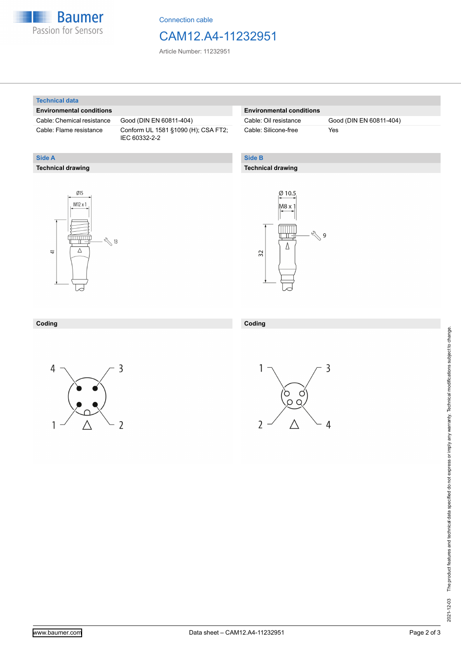

Connection cable

## CAM12.A4-11232951

Article Number: 11232951

#### **Technical data**

**Technical drawing**

**Side A**

#### **Environmental conditions**

Cable: Chemical resistance Good (DIN EN 60811-404)

Cable: Flame resistance Conform UL 1581 §1090 (H); CSA FT2; IEC 60332-2-2

#### **Environmental conditions**

Cable: Silicone-free Yes

Cable: Oil resistance Good (DIN EN 60811-404)

#### **Side B**

**Coding**

#### **Technical drawing**





### **Coding**